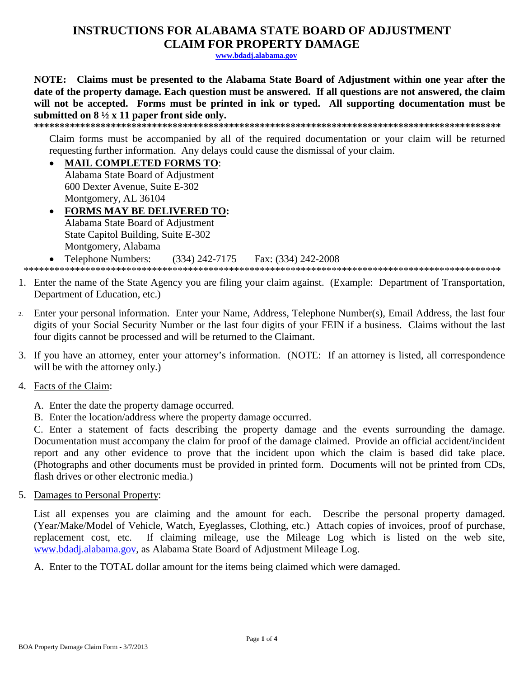## **INSTRUCTIONS FOR ALABAMA STATE BOARD OF ADJUSTMENT CLAIM FOR PROPERTY DAMAGE**

www.bdadj.alabama.gov

NOTE: Claims must be presented to the Alabama State Board of Adjustment within one year after the date of the property damage. Each question must be answered. If all questions are not answered, the claim will not be accepted. Forms must be printed in ink or typed. All supporting documentation must be submitted on  $8\frac{1}{2}x$  11 paper front side only.

Claim forms must be accompanied by all of the required documentation or your claim will be returned requesting further information. Any delays could cause the dismissal of your claim.

## • MAIL COMPLETED FORMS TO:

Alabama State Board of Adjustment 600 Dexter Avenue. Suite E-302 Montgomery, AL 36104

- FORMS MAY BE DELIVERED TO: Alabama State Board of Adjustment State Capitol Building, Suite E-302 Montgomery, Alabama
- **Telephone Numbers:**  $(334)$  242-7175 Fax: (334) 242-2008  $\bullet$

- 1. Enter the name of the State Agency you are filing your claim against. (Example: Department of Transportation, Department of Education, etc.)
- Enter your personal information. Enter your Name, Address, Telephone Number(s), Email Address, the last four digits of your Social Security Number or the last four digits of your FEIN if a business. Claims without the last four digits cannot be processed and will be returned to the Claimant.
- 3. If you have an attorney, enter your attorney's information. (NOTE: If an attorney is listed, all correspondence will be with the attorney only.)
- 4. Facts of the Claim:
	- A. Enter the date the property damage occurred.
	- B. Enter the location/address where the property damage occurred.

C. Enter a statement of facts describing the property damage and the events surrounding the damage. Documentation must accompany the claim for proof of the damage claimed. Provide an official accident/incident report and any other evidence to prove that the incident upon which the claim is based did take place. (Photographs and other documents must be provided in printed form. Documents will not be printed from CDs, flash drives or other electronic media.)

5. Damages to Personal Property:

List all expenses you are claiming and the amount for each. Describe the personal property damaged. (Year/Make/Model of Vehicle, Watch, Eyeglasses, Clothing, etc.) Attach copies of invoices, proof of purchase, replacement cost, etc. If claiming mileage, use the Mileage Log which is listed on the web site, www.bdadj.alabama.gov, as Alabama State Board of Adjustment Mileage Log.

A. Enter to the TOTAL dollar amount for the items being claimed which were damaged.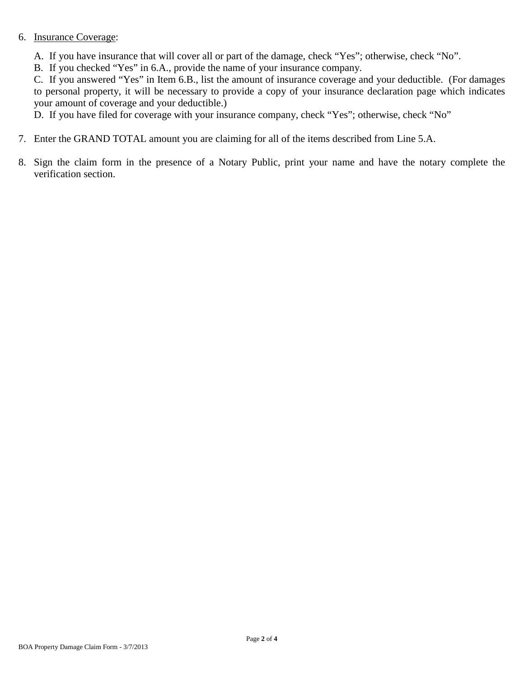## 6. Insurance Coverage:

A. If you have insurance that will cover all or part of the damage, check "Yes"; otherwise, check "No".

B. If you checked "Yes" in 6.A., provide the name of your insurance company.

C. If you answered "Yes" in Item 6.B., list the amount of insurance coverage and your deductible. (For damages to personal property, it will be necessary to provide a copy of your insurance declaration page which indicates your amount of coverage and your deductible.)

D. If you have filed for coverage with your insurance company, check "Yes"; otherwise, check "No"

- 7. Enter the GRAND TOTAL amount you are claiming for all of the items described from Line 5.A.
- 8. Sign the claim form in the presence of a Notary Public, print your name and have the notary complete the verification section.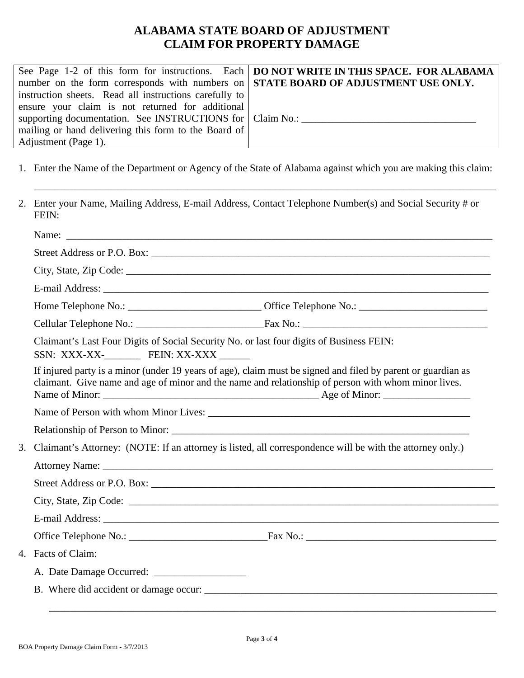## **ALABAMA STATE BOARD OF ADJUSTMENT CLAIM FOR PROPERTY DAMAGE**

|                                                                                           | See Page 1-2 of this form for instructions. Each   DO NOT WRITE IN THIS SPACE. FOR ALABAMA |
|-------------------------------------------------------------------------------------------|--------------------------------------------------------------------------------------------|
| number on the form corresponds with numbers on <b>STATE BOARD OF ADJUSTMENT USE ONLY.</b> |                                                                                            |
| instruction sheets. Read all instructions carefully to                                    |                                                                                            |
| ensure your claim is not returned for additional                                          |                                                                                            |
| supporting documentation. See INSTRUCTIONS for Claim No.: _______________________         |                                                                                            |
| mailing or hand delivering this form to the Board of                                      |                                                                                            |
| Adjustment (Page 1).                                                                      |                                                                                            |

1. Enter the Name of the Department or Agency of the State of Alabama against which you are making this claim:

\_\_\_\_\_\_\_\_\_\_\_\_\_\_\_\_\_\_\_\_\_\_\_\_\_\_\_\_\_\_\_\_\_\_\_\_\_\_\_\_\_\_\_\_\_\_\_\_\_\_\_\_\_\_\_\_\_\_\_\_\_\_\_\_\_\_\_\_\_\_\_\_\_\_\_\_\_\_\_\_\_\_\_\_\_\_\_\_\_\_

2. Enter your Name, Mailing Address, E-mail Address, Contact Telephone Number(s) and Social Security # or FEIN:

|                                                                                                              | Name:                                                                                                                                                                                                               |
|--------------------------------------------------------------------------------------------------------------|---------------------------------------------------------------------------------------------------------------------------------------------------------------------------------------------------------------------|
|                                                                                                              |                                                                                                                                                                                                                     |
|                                                                                                              |                                                                                                                                                                                                                     |
|                                                                                                              | E-mail Address:                                                                                                                                                                                                     |
|                                                                                                              |                                                                                                                                                                                                                     |
|                                                                                                              |                                                                                                                                                                                                                     |
| SSN: XXX-XX-_________ FEIN: XX-XXX ______                                                                    | Claimant's Last Four Digits of Social Security No. or last four digits of Business FEIN:                                                                                                                            |
|                                                                                                              | If injured party is a minor (under 19 years of age), claim must be signed and filed by parent or guardian as<br>claimant. Give name and age of minor and the name and relationship of person with whom minor lives. |
|                                                                                                              |                                                                                                                                                                                                                     |
|                                                                                                              | Relationship of Person to Minor:                                                                                                                                                                                    |
| 3. Claimant's Attorney: (NOTE: If an attorney is listed, all correspondence will be with the attorney only.) |                                                                                                                                                                                                                     |
|                                                                                                              |                                                                                                                                                                                                                     |
|                                                                                                              |                                                                                                                                                                                                                     |
|                                                                                                              | City, State, Zip Code: $\Box$                                                                                                                                                                                       |
|                                                                                                              |                                                                                                                                                                                                                     |
|                                                                                                              |                                                                                                                                                                                                                     |
| 4. Facts of Claim:                                                                                           |                                                                                                                                                                                                                     |
|                                                                                                              |                                                                                                                                                                                                                     |
|                                                                                                              |                                                                                                                                                                                                                     |